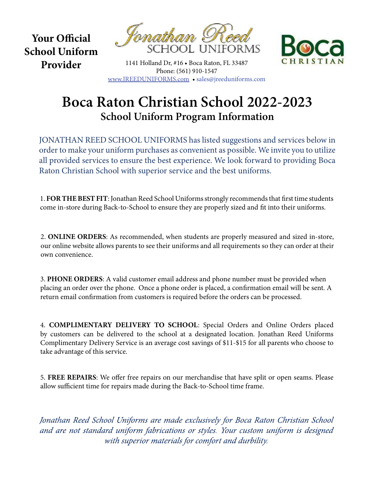Your Official School Uniform Provider





1141 Holland Dr, #16 • Boca Raton, FL 33487 Phone: (561) 910-1547 www.JREEDUNIFORMS.com • sales@jreeduniforms.com

## Boca Raton Christian School 2022-2023 School Uniform Program Information

JONATHAN REED SCHOOL UNIFORMS has listed suggestions and services below in order to make your uniform purchases as convenient as possible. We invite you to utilize all provided services to ensure the best experience. We look forward to providing Boca Raton Christian School with superior service and the best uniforms.

1. FOR THE BEST FIT: Jonathan Reed School Uniforms strongly recommends that first time students come in-store during Back-to-School to ensure they are properly sized and fit into their uniforms.

2. ONLINE ORDERS: As recommended, when students are properly measured and sized in-store, our online website allows parents to see their uniforms and all requirements so they can order at their own convenience.

3. PHONE ORDERS: A valid customer email address and phone number must be provided when placing an order over the phone. Once a phone order is placed, a confirmation email will be sent. A return email confirmation from customers is required before the orders can be processed.

4. COMPLIMENTARY DELIVERY TO SCHOOL: Special Orders and Online Orders placed by customers can be delivered to the school at a designated location. Jonathan Reed Uniforms Complimentary Delivery Service is an average cost savings of \$11-\$15 for all parents who choose to take advantage of this service.

5. FREE REPAIRS: We offer free repairs on our merchandise that have split or open seams. Please allow sufficient time for repairs made during the Back-to-School time frame.

Jonathan Reed School Uniforms are made exclusively for Boca Raton Christian School and are not standard uniform fabrications or styles. Your custom uniform is designed with superior materials for comfort and durbility.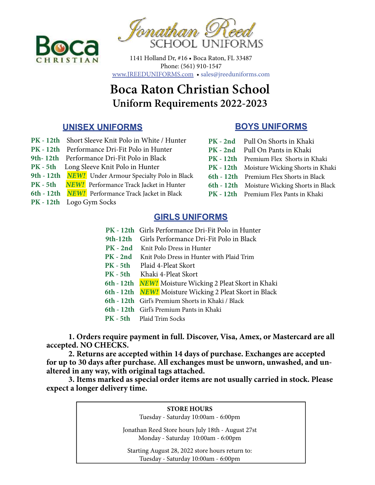



1141 Holland Dr, #16 • Boca Raton, FL 33487 Phone: (561) 910-1547 www.JREEDUNIFORMS.com • sales@jreeduniforms.com

# Boca Raton Christian School Uniform Requirements 2022-2023

#### UNISEX UNIFORMS

- PK 12th Short Sleeve Knit Polo in White / Hunter
- PK 12th Performance Dri-Fit Polo in Hunter
- 9th- 12th Performance Dri-Fit Polo in Black
- PK 5th Long Sleeve Knit Polo in Hunter
- 9th 12th NEW! Under Armour Specialty Polo in Black
- PK 5th NEW! Performance Track Jacket in Hunter
- 6th 12th **NEW!** Performance Track Jacket in Black
- PK 12th Logo Gym Socks

#### BOYS UNIFORMS

- PK 2nd Pull On Shorts in Khaki
- PK 2nd Pull On Pants in Khaki
- PK 12th Premium Flex Shorts in Khaki
- PK 12th Moisture Wicking Shorts in Khaki
- 6th 12th Premium Flex Shorts in Black
- 6th 12th Moisture Wicking Shorts in Black
- PK 12th Premium Flex Pants in Khaki

#### GIRLS UNIFORMS

- PK 12th Girls Performance Dri-Fit Polo in Hunter
- 9th-12th Girls Performance Dri-Fit Polo in Black
- PK 2nd Knit Polo Dress in Hunter
- PK 2nd Knit Polo Dress in Hunter with Plaid Trim
- PK 5th Plaid 4-Pleat Skort
- PK 5th Khaki 4-Pleat Skort
- 6th 12th NEW! Moisture Wicking 2 Pleat Skort in Khaki
- 6th 12th NEW! Moisture Wicking 2 Pleat Skort in Black
- 6th 12th Girl's Premium Shorts in Khaki / Black
- 6th 12th Girl's Premium Pants in Khaki
- PK 5th Plaid Trim Socks

 1. Orders require payment in full. Discover, Visa, Amex, or Mastercard are all accepted. NO CHECKS.

 2. Returns are accepted within 14 days of purchase. Exchanges are accepted for up to 30 days after purchase. All exchanges must be unworn, unwashed, and unaltered in any way, with original tags attached.

 3. Items marked as special order items are not usually carried in stock. Please expect a longer delivery time.

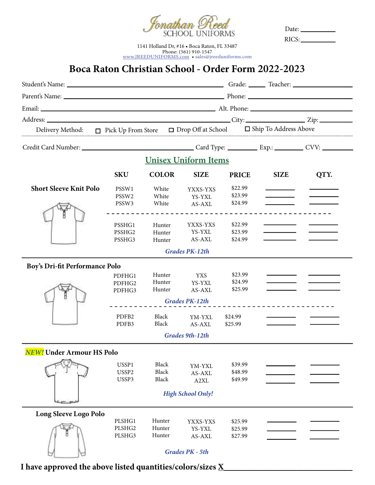

Date: RICS:

1141 Holland Dr, #16 • Boca Raton, FL 33487 Phone: (561) 910-1547 www.JREEDUNIFORMS.com • sales@jreeduniforms.com

## Boca Raton Christian School - Order Form 2022-2023

| Delivery Method: $\Box$ Pick Up From Store $\Box$ Drop Off at School $\Box$ Ship To Address Above |                            |                  |                             |                    |             |      |
|---------------------------------------------------------------------------------------------------|----------------------------|------------------|-----------------------------|--------------------|-------------|------|
|                                                                                                   |                            |                  |                             |                    |             |      |
|                                                                                                   |                            |                  | <b>Unisex Uniform Items</b> |                    |             |      |
|                                                                                                   | <b>SKU</b>                 | <b>COLOR</b>     | <b>SIZE</b>                 | <b>PRICE</b>       | <b>SIZE</b> | QTY. |
| <b>Short Sleeve Knit Polo</b>                                                                     | PSSW1                      | White            | YXXS-YXS                    | \$22.99            |             |      |
|                                                                                                   | PSSW <sub>2</sub>          | White            | YS-YXL                      | \$23.99            |             |      |
|                                                                                                   | PSSW3                      | White            | AS-AXL                      | \$24.99            |             |      |
|                                                                                                   |                            |                  | ___________________________ |                    |             |      |
|                                                                                                   |                            |                  |                             |                    |             |      |
|                                                                                                   | PSSHG1                     | Hunter           | YXXS-YXS<br>YS-YXL          | \$22.99            |             |      |
|                                                                                                   | PSSHG2<br>PSSHG3           | Hunter<br>Hunter | AS-AXL                      | \$23.99<br>\$24.99 |             |      |
|                                                                                                   |                            |                  |                             |                    |             |      |
|                                                                                                   |                            |                  | <b>Grades PK-12th</b>       |                    |             |      |
| Boy's Dri-fit Performance Polo                                                                    |                            |                  |                             |                    |             |      |
|                                                                                                   | PDFHG1                     | Hunter           | <b>YXS</b>                  | \$23.99            |             |      |
|                                                                                                   | PDFHG2                     | Hunter           | YS-YXL                      | \$24.99            |             |      |
|                                                                                                   | PDFHG3                     | Hunter           | AS-AXL                      | \$25.99            |             |      |
|                                                                                                   |                            |                  | <b>Grades PK-12th</b>       |                    |             |      |
|                                                                                                   |                            | Black            |                             |                    |             |      |
|                                                                                                   | PDFB <sub>2</sub><br>PDFB3 | Black            | YM-YXL<br>AS-AXL            | \$24.99<br>\$25.99 |             |      |
|                                                                                                   |                            |                  |                             |                    |             |      |
|                                                                                                   |                            |                  | <b>Grades 9th-12th</b>      |                    |             |      |
| <b>NEW!</b> Under Armour HS Polo                                                                  |                            |                  |                             |                    |             |      |
|                                                                                                   | USSP1                      | <b>Black</b>     | YM-YXL                      | \$39.99            |             |      |
|                                                                                                   | USSP2                      | <b>Black</b>     | AS-AXL                      | \$48.99            |             |      |
|                                                                                                   | USSP3                      | Black            | A2XL                        | \$49.99            |             |      |
|                                                                                                   |                            |                  | <b>High School Only!</b>    |                    |             |      |
|                                                                                                   |                            |                  |                             |                    |             |      |
| Long Sleeve Logo Polo                                                                             |                            |                  |                             |                    |             |      |
|                                                                                                   | PLSHG1                     | Hunter           | YXXS-YXS                    | \$25.99            |             |      |
|                                                                                                   | PLSHG2                     | Hunter           | YS-YXL                      | \$25.99            |             |      |
|                                                                                                   | PLSHG3                     | Hunter           | AS-AXL                      | \$27.99            |             |      |
|                                                                                                   |                            |                  | Grades PK - 5th             |                    |             |      |
|                                                                                                   |                            |                  |                             |                    |             |      |
| I have approved the above listed quantities/colors/sizes $\underline{X}$                          |                            |                  |                             |                    |             |      |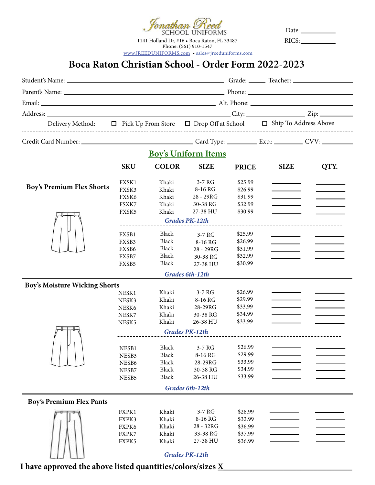mathan Reed<br>school uniforms 1141 Holland Dr, #16 • Boca Raton, FL 33487 Phone: (561) 910-1547

Date: RICS:

Boca Raton Christian School - Order Form 2022-2023 www.JREEDUNIFORMS.com • sales@jreeduniforms.com

|                                      |                |                            |                       |                    | Delivery Method: □ Pick Up From Store □ Drop Off at School □ Ship To Address Above |      |  |  |
|--------------------------------------|----------------|----------------------------|-----------------------|--------------------|------------------------------------------------------------------------------------|------|--|--|
|                                      |                |                            |                       |                    |                                                                                    |      |  |  |
|                                      |                | <b>Boy's Uniform Items</b> |                       |                    |                                                                                    |      |  |  |
|                                      | <b>SKU</b>     | <b>COLOR</b>               | <b>SIZE</b>           | <b>PRICE</b>       | <b>SIZE</b>                                                                        | QTY. |  |  |
| <b>Boy's Premium Flex Shorts</b>     | FXSK1          | Khaki                      | 3-7 RG                | \$25.99            |                                                                                    |      |  |  |
|                                      | FXSK3          | Khaki                      | 8-16 RG               | \$26.99            |                                                                                    |      |  |  |
|                                      | FXSK6          | Khaki                      | 28 - 29RG             | \$31.99            |                                                                                    |      |  |  |
|                                      | FSXK7          | Khaki                      | 30-38 RG              | \$32.99            |                                                                                    |      |  |  |
|                                      | FXSK5          | Khaki                      | 27-38 HU              | \$30.99            |                                                                                    |      |  |  |
|                                      |                |                            | <b>Grades PK-12th</b> |                    |                                                                                    |      |  |  |
|                                      |                |                            |                       |                    |                                                                                    |      |  |  |
|                                      | FXSB1          | Black                      | $3-7RG$               | \$25.99            |                                                                                    |      |  |  |
|                                      | FXSB3          | Black<br>Black             | 8-16 RG               | \$26.99            |                                                                                    |      |  |  |
|                                      | FXSB6          | Black                      | 28 - 29RG             | \$31.99            |                                                                                    |      |  |  |
|                                      | FXSB7          | Black                      | 30-38 RG              | \$32.99<br>\$30.99 |                                                                                    |      |  |  |
|                                      | FXSB5          |                            | 27-38 HU              |                    |                                                                                    |      |  |  |
|                                      |                |                            | Grades 6th-12th       |                    |                                                                                    |      |  |  |
| <b>Boy's Moisture Wicking Shorts</b> |                |                            |                       |                    |                                                                                    |      |  |  |
|                                      | NESK1          | Khaki                      | 3-7 RG                | \$26.99            |                                                                                    |      |  |  |
|                                      | NESK3          | Khaki                      | 8-16 RG               | \$29.99            |                                                                                    |      |  |  |
|                                      | NESK6          | Khaki                      | 28-29RG               | \$33.99<br>\$34.99 |                                                                                    |      |  |  |
|                                      | NESK7          | Khaki<br>Khaki             | 30-38 RG<br>26-38 HU  | \$33.99            |                                                                                    |      |  |  |
|                                      | NESK5          |                            |                       |                    |                                                                                    |      |  |  |
|                                      |                |                            | <b>Grades PK-12th</b> |                    |                                                                                    |      |  |  |
|                                      |                |                            |                       |                    |                                                                                    |      |  |  |
|                                      | NESB1          | Black 3-7 RG               |                       | \$26.99            |                                                                                    |      |  |  |
|                                      | NESB3          | Black                      | 8-16 RG               | \$29.99<br>\$33.99 |                                                                                    |      |  |  |
|                                      | NESB6          | Black<br>Black             | 28-29RG<br>30-38 RG   | \$34.99            |                                                                                    |      |  |  |
|                                      | NESB7<br>NESB5 | Black                      | 26-38 HU              | \$33.99            |                                                                                    |      |  |  |
|                                      |                |                            |                       |                    |                                                                                    |      |  |  |
|                                      |                |                            | Grades 6th-12th       |                    |                                                                                    |      |  |  |
| <b>Boy's Premium Flex Pants</b>      |                |                            |                       |                    |                                                                                    |      |  |  |
|                                      | FXPK1          | Khaki                      | 3-7 RG                | \$28.99            |                                                                                    |      |  |  |
|                                      | FXPK3          | Khaki                      | 8-16 RG               | \$32.99            |                                                                                    |      |  |  |
|                                      | FXPK6          | Khaki                      | 28 - 32RG             | \$36.99            |                                                                                    |      |  |  |
|                                      | FXPK7          | Khaki                      | 33-38 RG              | \$37.99            |                                                                                    |      |  |  |
|                                      | FXPK5          | Khaki                      | 27-38 HU              | \$36.99            |                                                                                    |      |  |  |
|                                      |                |                            | <b>Grades PK-12th</b> |                    |                                                                                    |      |  |  |
|                                      |                |                            |                       |                    |                                                                                    |      |  |  |

I have approved the above listed quantities/colors/sizes  $\underline{X}$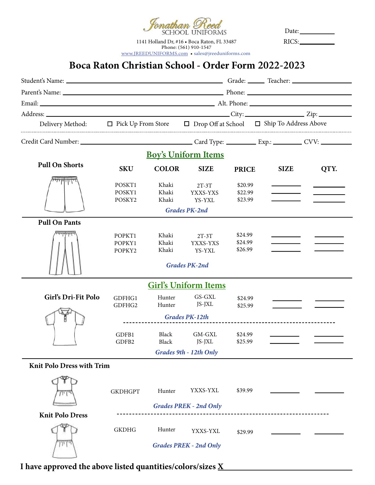fonathan Reed<br>school uniforms

1141 Holland Dr, #16 • Boca Raton, FL 33487 Phone: (561) 910-1547 www.JREEDUNIFORMS.com • sales@jreeduniforms.com

Date: RICS:

### Boca Raton Christian School - Order Form 2022-2023

| Delivery Method: □ Pick Up From Store □ Drop Off at School □ Ship To Address Above |                            |                         |                                                       |                               |             |      |
|------------------------------------------------------------------------------------|----------------------------|-------------------------|-------------------------------------------------------|-------------------------------|-------------|------|
|                                                                                    |                            |                         |                                                       |                               |             |      |
|                                                                                    |                            |                         | <b>Boy's Uniform Items</b>                            |                               |             |      |
| <b>Pull On Shorts</b>                                                              | <b>SKU</b>                 | <b>COLOR</b>            | <b>SIZE</b>                                           | <b>PRICE</b>                  | <b>SIZE</b> | QTY. |
|                                                                                    | POSKT1<br>POSKY1<br>POSKY2 | Khaki<br>Khaki<br>Khaki | $2T-3T$<br>YXXS-YXS<br>YS-YXL<br><b>Grades PK-2nd</b> | \$20.99<br>\$22.99<br>\$23.99 |             |      |
| <b>Pull On Pants</b>                                                               |                            |                         |                                                       |                               |             |      |
|                                                                                    | POPKT1<br>POPKY1<br>POPKY2 | Khaki<br>Khaki<br>Khaki | $2T-3T$<br>YXXS-YXS<br>YS-YXL<br><b>Grades PK-2nd</b> | \$24.99<br>\$24.99<br>\$26.99 |             |      |
|                                                                                    |                            |                         | <b>Girl's Uniform Items</b>                           |                               |             |      |
| Girl's Dri-Fit Polo                                                                | GDFHG1<br>GDFHG2           | Hunter<br>Hunter        | GS-GXL<br>JS-JXL                                      | \$24.99<br>\$25.99            |             |      |
|                                                                                    |                            | <b>Grades PK-12th</b>   |                                                       |                               |             |      |
|                                                                                    | GDFB1<br>GDFB2             | Black<br>Black          | GM-GXL<br>JS-JXL<br>Grades 9th - 12th Only            | \$24.99<br>\$25.99            |             |      |
| <b>Knit Polo Dress with Trim</b>                                                   |                            |                         |                                                       |                               |             |      |
|                                                                                    | <b>GKDHGPT</b>             | Hunter                  | YXXS-YXL<br><b>Grades PREK - 2nd Only</b>             | \$39.99                       |             |      |
| <b>Knit Polo Dress</b>                                                             |                            |                         |                                                       |                               |             |      |
|                                                                                    | <b>GKDHG</b>               | Hunter                  | YXXS-YXL<br><b>Grades PREK - 2nd Only</b>             | \$29.99                       |             |      |

I have approved the above listed quantities/colors/sizes  $\underline{\mathbf{X}}_-$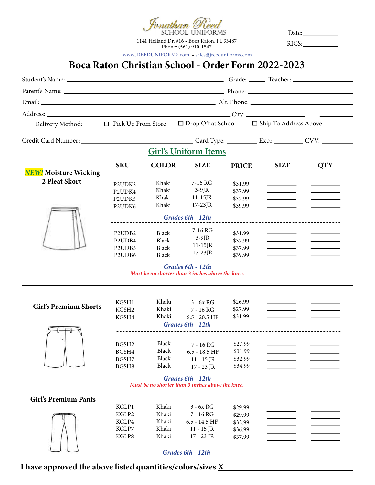<sup>T</sup>onathan Reed<br>school uniforms

1141 Holland Dr, #16 • Boca Raton, FL 33487 Phone: (561) 910-1547

Date: RICS:

www.JREEDUNIFORMS.com • sales@jreeduniforms.com

#### Boca Raton Christian School - Order Form 2022-2023

|                              |                                 |                |                                                                       |                    | Delivery Method: □ Pick Up From Store □ Drop Off at School □ Ship To Address Above |      |  |  |  |  |
|------------------------------|---------------------------------|----------------|-----------------------------------------------------------------------|--------------------|------------------------------------------------------------------------------------|------|--|--|--|--|
|                              |                                 |                |                                                                       |                    |                                                                                    |      |  |  |  |  |
|                              | <b>Girl's Uniform Items</b>     |                |                                                                       |                    |                                                                                    |      |  |  |  |  |
|                              | <b>SKU</b>                      | <b>COLOR</b>   | <b>SIZE</b>                                                           | <b>PRICE</b>       | <b>SIZE</b>                                                                        | QTY. |  |  |  |  |
| <b>NEW!</b> Moisture Wicking |                                 |                |                                                                       |                    |                                                                                    |      |  |  |  |  |
| 2 Pleat Skort                | P2UDK2                          | Khaki          | $7-16$ RG                                                             | \$31.99            |                                                                                    |      |  |  |  |  |
|                              | P2UDK4                          | Khaki          | $3-9$ JR                                                              | \$37.99            |                                                                                    |      |  |  |  |  |
|                              | P2UDK5                          | Khaki          | $11-15$ JR                                                            | \$37.99            |                                                                                    |      |  |  |  |  |
|                              | P2UDK6                          | Khaki          | $17-23$ JR                                                            | \$39.99            |                                                                                    |      |  |  |  |  |
|                              |                                 |                | Grades 6th - 12th                                                     |                    |                                                                                    |      |  |  |  |  |
|                              |                                 |                |                                                                       |                    |                                                                                    |      |  |  |  |  |
|                              | P2UDB2                          | <b>Black</b>   | 7-16 RG                                                               | \$31.99            |                                                                                    |      |  |  |  |  |
|                              | P <sub>2</sub> UD <sub>B4</sub> | <b>Black</b>   | $3-9$ JR                                                              | \$37.99            |                                                                                    |      |  |  |  |  |
|                              | P <sub>2</sub> UD <sub>B5</sub> | Black          | $11-15$ JR<br>$17-23$ JR                                              | \$37.99            |                                                                                    |      |  |  |  |  |
|                              | P <sub>2</sub> UD <sub>B6</sub> | <b>Black</b>   |                                                                       | \$39.99            |                                                                                    |      |  |  |  |  |
|                              |                                 |                | Grades 6th - 12th<br>Must be no shorter than 3 inches above the knee. |                    |                                                                                    |      |  |  |  |  |
|                              | KGSH1                           | Khaki          | $3 - 6x$ RG                                                           | \$26.99            |                                                                                    |      |  |  |  |  |
| <b>Girl's Premium Shorts</b> | KGSH2                           | Khaki          | $7 - 16$ RG                                                           | \$27.99            |                                                                                    |      |  |  |  |  |
|                              | KGSH4                           | Khaki          | $6.5 - 20.5$ HF                                                       | \$31.99            |                                                                                    |      |  |  |  |  |
|                              |                                 |                | Grades 6th - 12th                                                     |                    |                                                                                    |      |  |  |  |  |
|                              |                                 |                |                                                                       |                    |                                                                                    |      |  |  |  |  |
|                              |                                 |                |                                                                       |                    |                                                                                    |      |  |  |  |  |
|                              | BGSH <sub>2</sub>               | Black<br>Black | $7 - 16$ RG                                                           | \$27.99<br>\$31.99 |                                                                                    |      |  |  |  |  |
|                              | BGSH4<br>BGSH7                  | Black          | $6.5 - 18.5$ HF                                                       | \$32.99            |                                                                                    |      |  |  |  |  |
|                              | BGSH8                           | Black          | $11 - 15$ JR<br>17 - 23 JR                                            | \$34.99            |                                                                                    |      |  |  |  |  |
|                              |                                 |                |                                                                       |                    |                                                                                    |      |  |  |  |  |
|                              |                                 |                | Grades 6th - 12th<br>Must be no shorter than 3 inches above the knee. |                    |                                                                                    |      |  |  |  |  |
|                              |                                 |                |                                                                       |                    |                                                                                    |      |  |  |  |  |
| <b>Girl's Premium Pants</b>  | KGLP1                           | Khaki          | $3 - 6x$ RG                                                           |                    |                                                                                    |      |  |  |  |  |
|                              | KGLP2                           | Khaki          | 7 - 16 RG                                                             | \$29.99<br>\$29.99 |                                                                                    |      |  |  |  |  |
|                              | KGLP4                           | Khaki          | $6.5 - 14.5$ HF                                                       | \$32.99            |                                                                                    |      |  |  |  |  |
|                              | KGLP7                           | Khaki          | $11 - 15$ JR                                                          | \$36.99            |                                                                                    |      |  |  |  |  |
|                              | KGLP8                           | Khaki          | 17 - 23 JR                                                            | \$37.99            |                                                                                    |      |  |  |  |  |
|                              |                                 |                |                                                                       |                    |                                                                                    |      |  |  |  |  |
|                              |                                 |                | Grades 6th - 12th                                                     |                    |                                                                                    |      |  |  |  |  |

I have approved the above listed quantities/colors/sizes  $\underline{X}$